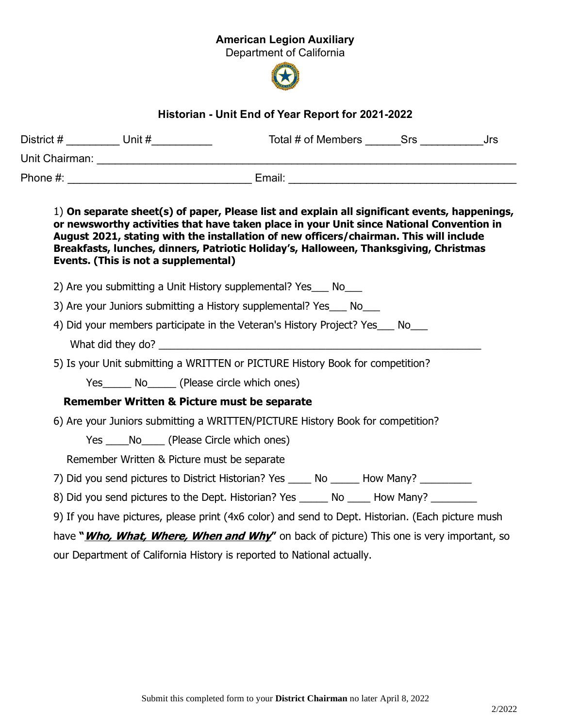## American Legion Auxiliary

Department of California



## Historian - Unit End of Year Report for 2021-2022

|  |                                                                                                                                                                             |                                                                                                                                                                                                                                                                                                                                                                              | Total # of Members Srs Jrs |  |
|--|-----------------------------------------------------------------------------------------------------------------------------------------------------------------------------|------------------------------------------------------------------------------------------------------------------------------------------------------------------------------------------------------------------------------------------------------------------------------------------------------------------------------------------------------------------------------|----------------------------|--|
|  |                                                                                                                                                                             |                                                                                                                                                                                                                                                                                                                                                                              |                            |  |
|  |                                                                                                                                                                             |                                                                                                                                                                                                                                                                                                                                                                              |                            |  |
|  | Events. (This is not a supplemental)                                                                                                                                        | 1) On separate sheet(s) of paper, Please list and explain all significant events, happenings,<br>or newsworthy activities that have taken place in your Unit since National Convention in<br>August 2021, stating with the installation of new officers/chairman. This will include<br>Breakfasts, lunches, dinners, Patriotic Holiday's, Halloween, Thanksgiving, Christmas |                            |  |
|  |                                                                                                                                                                             | 2) Are you submitting a Unit History supplemental? Yes___ No___                                                                                                                                                                                                                                                                                                              |                            |  |
|  | 3) Are your Juniors submitting a History supplemental? Yes ___ No                                                                                                           |                                                                                                                                                                                                                                                                                                                                                                              |                            |  |
|  |                                                                                                                                                                             | 4) Did your members participate in the Veteran's History Project? Yes___ No___<br>What did they do?                                                                                                                                                                                                                                                                          |                            |  |
|  |                                                                                                                                                                             | 5) Is your Unit submitting a WRITTEN or PICTURE History Book for competition?                                                                                                                                                                                                                                                                                                |                            |  |
|  | Yes _______ No_______ (Please circle which ones)                                                                                                                            |                                                                                                                                                                                                                                                                                                                                                                              |                            |  |
|  | <b>Remember Written &amp; Picture must be separate</b>                                                                                                                      |                                                                                                                                                                                                                                                                                                                                                                              |                            |  |
|  | 6) Are your Juniors submitting a WRITTEN/PICTURE History Book for competition?                                                                                              |                                                                                                                                                                                                                                                                                                                                                                              |                            |  |
|  | Yes ______ No ______ (Please Circle which ones)                                                                                                                             |                                                                                                                                                                                                                                                                                                                                                                              |                            |  |
|  | Remember Written & Picture must be separate                                                                                                                                 |                                                                                                                                                                                                                                                                                                                                                                              |                            |  |
|  |                                                                                                                                                                             | 7) Did you send pictures to District Historian? Yes ______ No _______ How Many? ___________                                                                                                                                                                                                                                                                                  |                            |  |
|  |                                                                                                                                                                             | 8) Did you send pictures to the Dept. Historian? Yes ______ No _____ How Many? ________                                                                                                                                                                                                                                                                                      |                            |  |
|  |                                                                                                                                                                             | 9) If you have pictures, please print (4x6 color) and send to Dept. Historian. (Each picture mush                                                                                                                                                                                                                                                                            |                            |  |
|  | have " <i>Who, What, Where, When and Why</i> " on back of picture) This one is very important, so<br>our Department of California History is reported to National actually. |                                                                                                                                                                                                                                                                                                                                                                              |                            |  |
|  |                                                                                                                                                                             |                                                                                                                                                                                                                                                                                                                                                                              |                            |  |